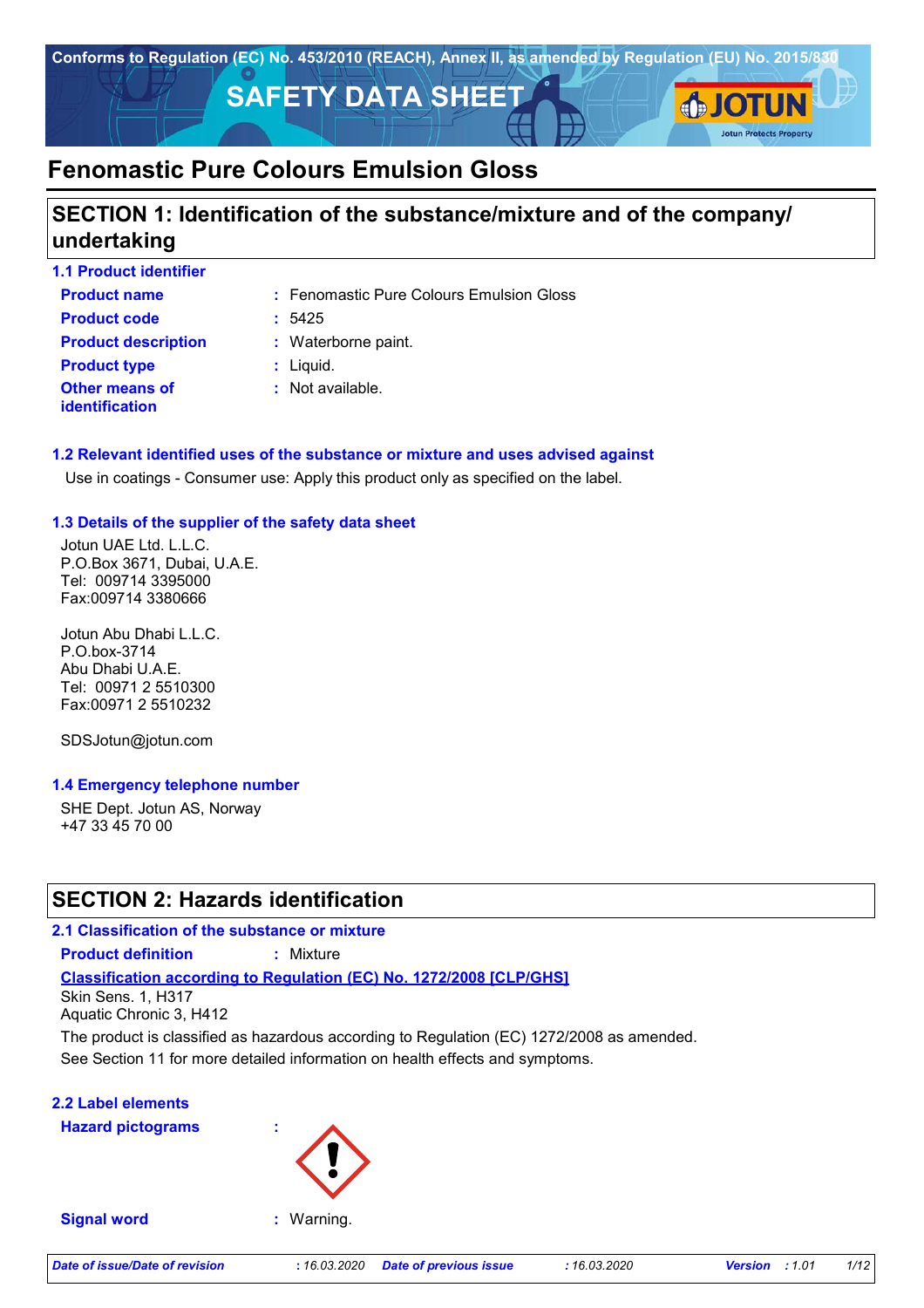

# **SECTION 1: Identification of the substance/mixture and of the company/ undertaking**

| <b>1.1 Product identifier</b>                  |                                          |
|------------------------------------------------|------------------------------------------|
| <b>Product name</b>                            | : Fenomastic Pure Colours Emulsion Gloss |
| <b>Product code</b>                            | :5425                                    |
| <b>Product description</b>                     | : Waterborne paint.                      |
| <b>Product type</b>                            | $:$ Liquid.                              |
| <b>Other means of</b><br><b>identification</b> | : Not available.                         |

### **1.2 Relevant identified uses of the substance or mixture and uses advised against**

Use in coatings - Consumer use: Apply this product only as specified on the label.

### **1.3 Details of the supplier of the safety data sheet**

Jotun UAE Ltd. L.L.C. P.O.Box 3671, Dubai, U.A.E. Tel: 009714 3395000 Fax:009714 3380666

Jotun Abu Dhabi L.L.C. P.O.box-3714 Abu Dhabi U.A.E. Tel: 00971 2 5510300 Fax:00971 2 5510232

SDSJotun@jotun.com

#### **1.4 Emergency telephone number**

SHE Dept. Jotun AS, Norway +47 33 45 70 00

# **SECTION 2: Hazards identification**

## **2.1 Classification of the substance or mixture**

**Product definition :** Mixture

**Classification according to Regulation (EC) No. 1272/2008 [CLP/GHS]**

Skin Sens. 1, H317 Aquatic Chronic 3, H412

See Section 11 for more detailed information on health effects and symptoms. The product is classified as hazardous according to Regulation (EC) 1272/2008 as amended.

## **2.2 Label elements**

**Hazard pictograms :**



#### **Signal word :** Warning.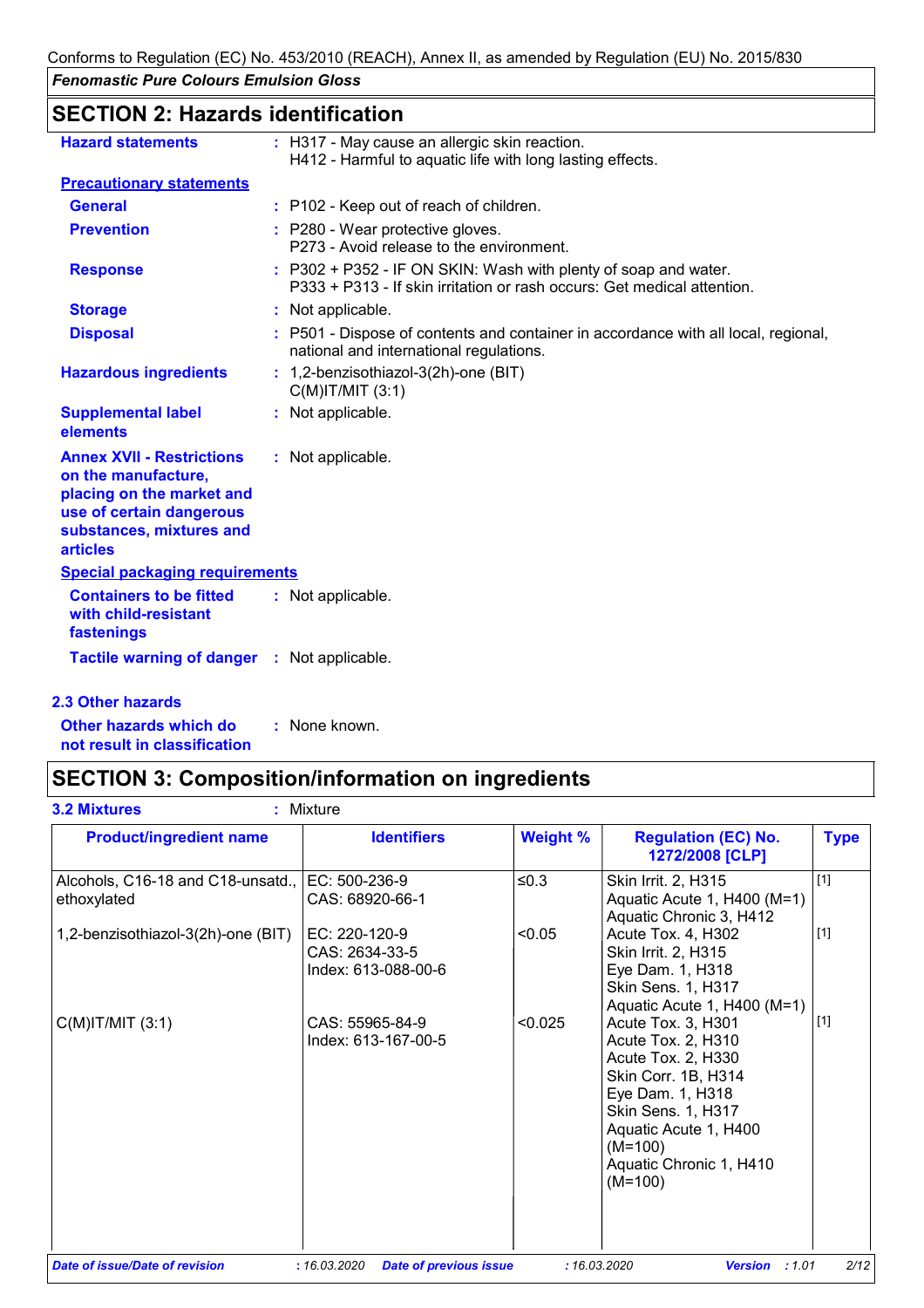# **SECTION 2: Hazards identification**

| <b>Hazard statements</b>                                                                                                                                        | : H317 - May cause an allergic skin reaction.<br>H412 - Harmful to aquatic life with long lasting effects.                                 |
|-----------------------------------------------------------------------------------------------------------------------------------------------------------------|--------------------------------------------------------------------------------------------------------------------------------------------|
| <b>Precautionary statements</b>                                                                                                                                 |                                                                                                                                            |
| <b>General</b>                                                                                                                                                  | : P102 - Keep out of reach of children.                                                                                                    |
| <b>Prevention</b>                                                                                                                                               | : P280 - Wear protective gloves.<br>P273 - Avoid release to the environment.                                                               |
| <b>Response</b>                                                                                                                                                 | : P302 + P352 - IF ON SKIN: Wash with plenty of soap and water.<br>P333 + P313 - If skin irritation or rash occurs: Get medical attention. |
| <b>Storage</b>                                                                                                                                                  | : Not applicable.                                                                                                                          |
| <b>Disposal</b>                                                                                                                                                 | P501 - Dispose of contents and container in accordance with all local, regional,<br>national and international regulations.                |
| <b>Hazardous ingredients</b>                                                                                                                                    | : 1,2-benzisothiazol-3(2h)-one (BIT)<br>$C(M)$ IT/MIT $(3:1)$                                                                              |
| <b>Supplemental label</b><br>elements                                                                                                                           | : Not applicable.                                                                                                                          |
| <b>Annex XVII - Restrictions</b><br>on the manufacture,<br>placing on the market and<br>use of certain dangerous<br>substances, mixtures and<br><b>articles</b> | : Not applicable.                                                                                                                          |
| <b>Special packaging requirements</b>                                                                                                                           |                                                                                                                                            |
| <b>Containers to be fitted</b><br>with child-resistant<br>fastenings                                                                                            | : Not applicable.                                                                                                                          |
| Tactile warning of danger : Not applicable.                                                                                                                     |                                                                                                                                            |

### **2.3 Other hazards**

**Other hazards which do : not result in classification** : None known.

# **SECTION 3: Composition/information on ingredients**

| <b>Product/ingredient name</b>                                 | <b>Identifiers</b>                                     | <b>Weight %</b> | <b>Regulation (EC) No.</b><br>1272/2008 [CLP]                                                                                                                                                                        | <b>Type</b> |
|----------------------------------------------------------------|--------------------------------------------------------|-----------------|----------------------------------------------------------------------------------------------------------------------------------------------------------------------------------------------------------------------|-------------|
| Alcohols, C16-18 and C18-unsatd., EC: 500-236-9<br>ethoxylated | CAS: 68920-66-1                                        | ≤0.3            | Skin Irrit. 2, H315<br>Aquatic Acute 1, H400 (M=1)<br>Aquatic Chronic 3, H412                                                                                                                                        | $[1]$       |
| 1,2-benzisothiazol-3(2h)-one (BIT)                             | EC: 220-120-9<br>CAS: 2634-33-5<br>Index: 613-088-00-6 | < 0.05          | Acute Tox. 4, H302<br>Skin Irrit. 2, H315<br>Eye Dam. 1, H318<br>Skin Sens. 1, H317<br>Aquatic Acute 1, H400 (M=1)                                                                                                   | $[1]$       |
| $C(M)$ IT/MIT $(3:1)$                                          | CAS: 55965-84-9<br>Index: 613-167-00-5                 | < 0.025         | Acute Tox. 3, H301<br>Acute Tox. 2, H310<br>Acute Tox. 2, H330<br>Skin Corr. 1B, H314<br>Eye Dam. 1, H318<br><b>Skin Sens. 1, H317</b><br>Aquatic Acute 1, H400<br>$(M=100)$<br>Aquatic Chronic 1, H410<br>$(M=100)$ | $[1]$       |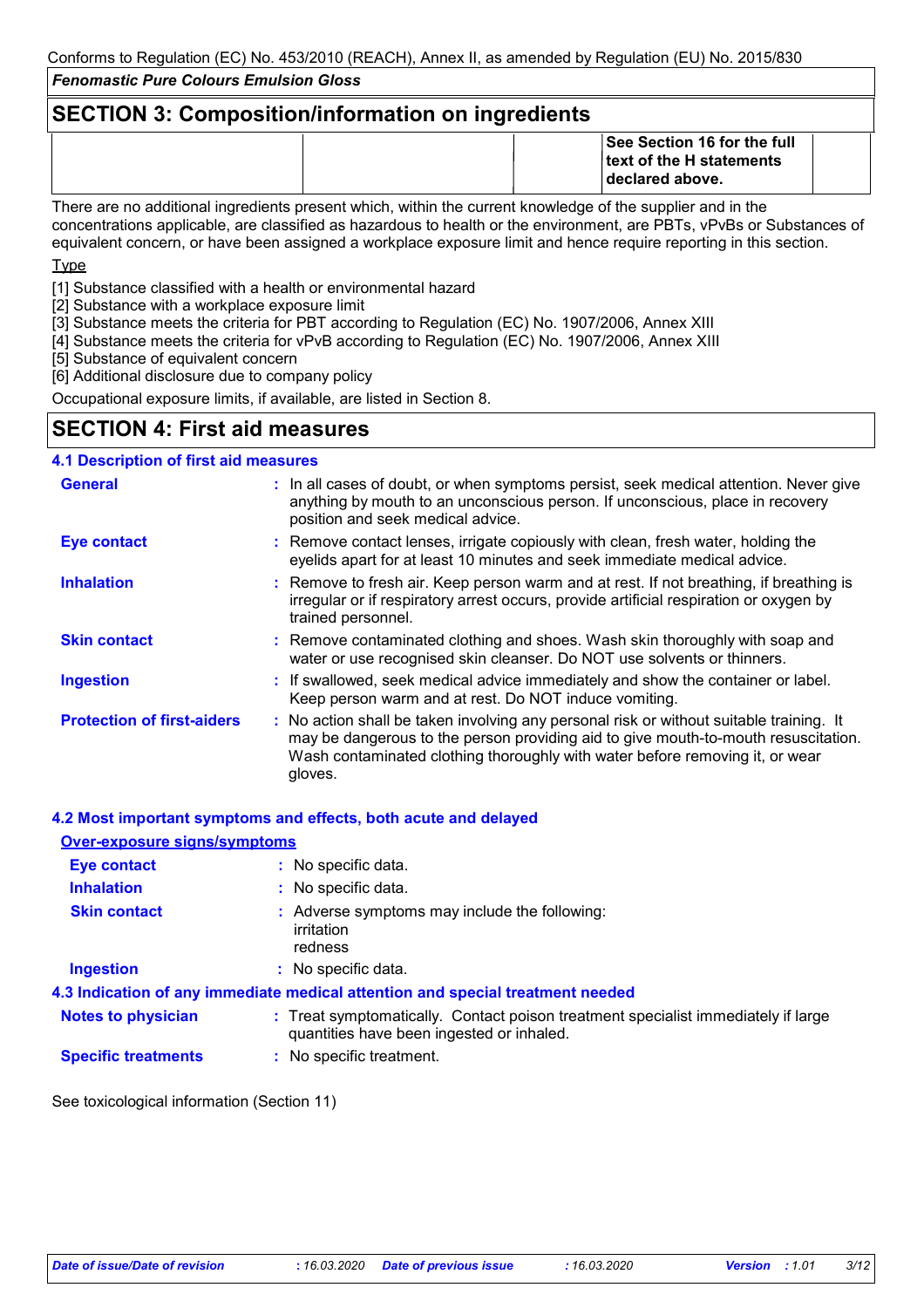# **SECTION 3: Composition/information on ingredients**

| <b>See Section 16 for the full</b><br><b>Itext of the H statements</b><br><b>Ideclared above.</b>         |  |
|-----------------------------------------------------------------------------------------------------------|--|
| There are no additional ingredients present which within the current knowledge of the supplier and in the |  |

There are no additional ingredients present which, within the current knowledge of the supplier and in the concentrations applicable, are classified as hazardous to health or the environment, are PBTs, vPvBs or Substances of equivalent concern, or have been assigned a workplace exposure limit and hence require reporting in this section.

**T**<sub>vpe</sub>

[1] Substance classified with a health or environmental hazard

[2] Substance with a workplace exposure limit

- [3] Substance meets the criteria for PBT according to Regulation (EC) No. 1907/2006, Annex XIII
- [4] Substance meets the criteria for vPvB according to Regulation (EC) No. 1907/2006, Annex XIII

[5] Substance of equivalent concern

[6] Additional disclosure due to company policy

Occupational exposure limits, if available, are listed in Section 8.

# **SECTION 4: First aid measures**

### **4.1 Description of first aid measures**

| <b>General</b>                    | : In all cases of doubt, or when symptoms persist, seek medical attention. Never give<br>anything by mouth to an unconscious person. If unconscious, place in recovery<br>position and seek medical advice.                                                              |
|-----------------------------------|--------------------------------------------------------------------------------------------------------------------------------------------------------------------------------------------------------------------------------------------------------------------------|
| Eye contact                       | : Remove contact lenses, irrigate copiously with clean, fresh water, holding the<br>eyelids apart for at least 10 minutes and seek immediate medical advice.                                                                                                             |
| <b>Inhalation</b>                 | : Remove to fresh air. Keep person warm and at rest. If not breathing, if breathing is<br>irregular or if respiratory arrest occurs, provide artificial respiration or oxygen by<br>trained personnel.                                                                   |
| <b>Skin contact</b>               | : Remove contaminated clothing and shoes. Wash skin thoroughly with soap and<br>water or use recognised skin cleanser. Do NOT use solvents or thinners.                                                                                                                  |
| <b>Ingestion</b>                  | : If swallowed, seek medical advice immediately and show the container or label.<br>Keep person warm and at rest. Do NOT induce vomiting.                                                                                                                                |
| <b>Protection of first-aiders</b> | : No action shall be taken involving any personal risk or without suitable training. It<br>may be dangerous to the person providing aid to give mouth-to-mouth resuscitation.<br>Wash contaminated clothing thoroughly with water before removing it, or wear<br>gloves. |

#### **4.2 Most important symptoms and effects, both acute and delayed**

| <b>Over-exposure signs/symptoms</b> |                                                                                                                                |
|-------------------------------------|--------------------------------------------------------------------------------------------------------------------------------|
| Eye contact                         | : No specific data.                                                                                                            |
| <b>Inhalation</b>                   | : No specific data.                                                                                                            |
| <b>Skin contact</b>                 | : Adverse symptoms may include the following:<br>irritation<br>redness                                                         |
| <b>Ingestion</b>                    | : No specific data.                                                                                                            |
|                                     | 4.3 Indication of any immediate medical attention and special treatment needed                                                 |
| <b>Notes to physician</b>           | : Treat symptomatically. Contact poison treatment specialist immediately if large<br>quantities have been ingested or inhaled. |
| <b>Specific treatments</b>          | : No specific treatment.                                                                                                       |

See toxicological information (Section 11)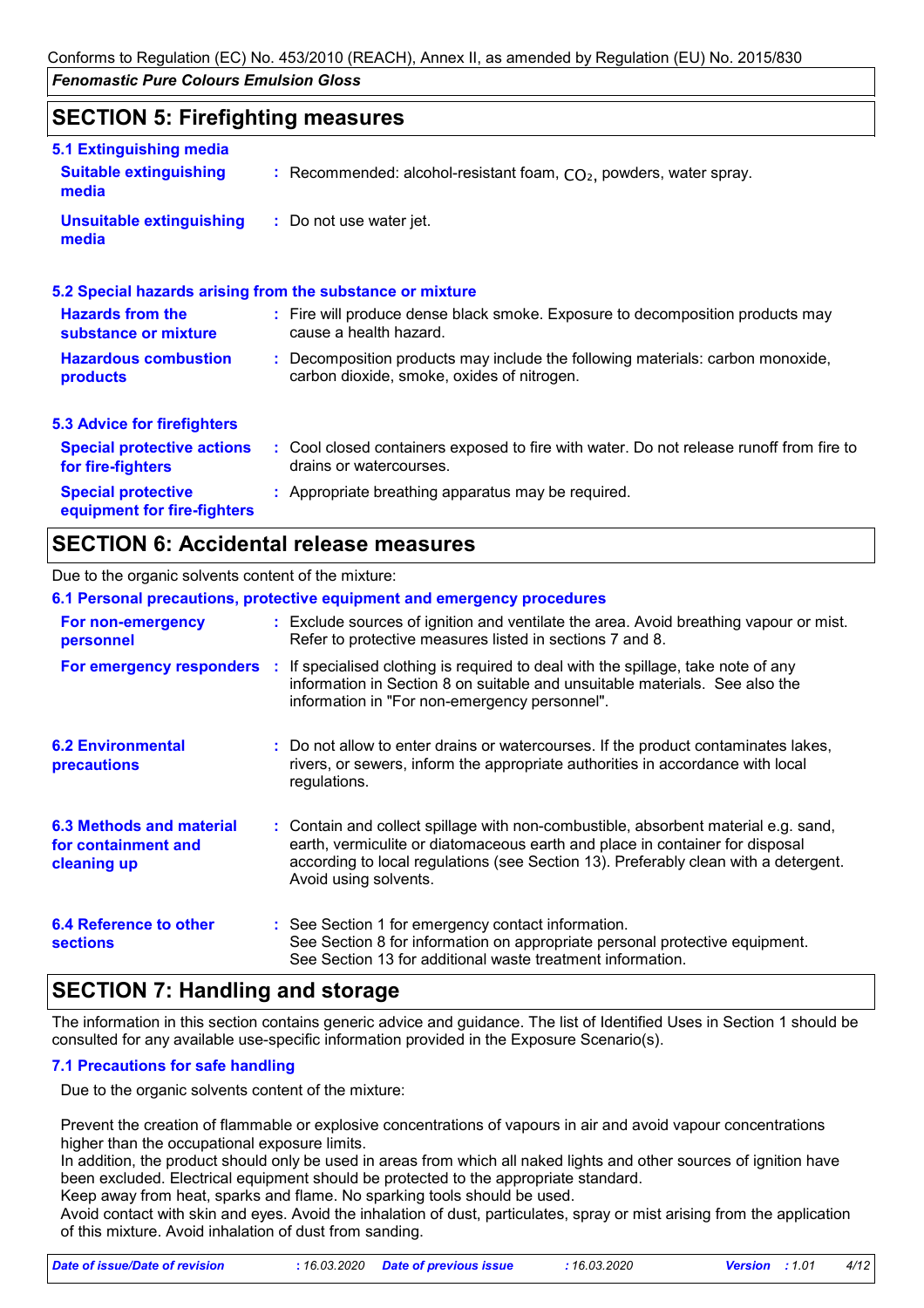# **SECTION 5: Firefighting measures**

| 5.1 Extinguishing media                                  |                                                                                                                              |
|----------------------------------------------------------|------------------------------------------------------------------------------------------------------------------------------|
| <b>Suitable extinguishing</b><br>media                   | : Recommended: alcohol-resistant foam, $CO2$ , powders, water spray.                                                         |
| <b>Unsuitable extinguishing</b><br>media                 | : Do not use water jet.                                                                                                      |
|                                                          | 5.2 Special hazards arising from the substance or mixture                                                                    |
| <b>Hazards from the</b><br>substance or mixture          | : Fire will produce dense black smoke. Exposure to decomposition products may<br>cause a health hazard.                      |
| <b>Hazardous combustion</b><br>products                  | : Decomposition products may include the following materials: carbon monoxide,<br>carbon dioxide, smoke, oxides of nitrogen. |
| <b>5.3 Advice for firefighters</b>                       |                                                                                                                              |
| <b>Special protective actions</b><br>for fire-fighters   | : Cool closed containers exposed to fire with water. Do not release runoff from fire to<br>drains or watercourses.           |
| <b>Special protective</b><br>equipment for fire-fighters | : Appropriate breathing apparatus may be required.                                                                           |

# **SECTION 6: Accidental release measures**

#### Due to the organic solvents content of the mixture:

|                                                                | 6.1 Personal precautions, protective equipment and emergency procedures                                                                                                                                                                                                            |
|----------------------------------------------------------------|------------------------------------------------------------------------------------------------------------------------------------------------------------------------------------------------------------------------------------------------------------------------------------|
| For non-emergency<br>personnel                                 | : Exclude sources of ignition and ventilate the area. Avoid breathing vapour or mist.<br>Refer to protective measures listed in sections 7 and 8.                                                                                                                                  |
| <b>For emergency responders :</b>                              | If specialised clothing is required to deal with the spillage, take note of any<br>information in Section 8 on suitable and unsuitable materials. See also the<br>information in "For non-emergency personnel".                                                                    |
| <b>6.2 Environmental</b><br><b>precautions</b>                 | : Do not allow to enter drains or watercourses. If the product contaminates lakes,<br>rivers, or sewers, inform the appropriate authorities in accordance with local<br>regulations.                                                                                               |
| 6.3 Methods and material<br>for containment and<br>cleaning up | : Contain and collect spillage with non-combustible, absorbent material e.g. sand,<br>earth, vermiculite or diatomaceous earth and place in container for disposal<br>according to local regulations (see Section 13). Preferably clean with a detergent.<br>Avoid using solvents. |
| 6.4 Reference to other<br><b>sections</b>                      | : See Section 1 for emergency contact information.<br>See Section 8 for information on appropriate personal protective equipment.<br>See Section 13 for additional waste treatment information.                                                                                    |

# **SECTION 7: Handling and storage**

The information in this section contains generic advice and guidance. The list of Identified Uses in Section 1 should be consulted for any available use-specific information provided in the Exposure Scenario(s).

### **7.1 Precautions for safe handling**

Due to the organic solvents content of the mixture:

Prevent the creation of flammable or explosive concentrations of vapours in air and avoid vapour concentrations higher than the occupational exposure limits.

In addition, the product should only be used in areas from which all naked lights and other sources of ignition have been excluded. Electrical equipment should be protected to the appropriate standard.

Keep away from heat, sparks and flame. No sparking tools should be used.

Avoid contact with skin and eyes. Avoid the inhalation of dust, particulates, spray or mist arising from the application of this mixture. Avoid inhalation of dust from sanding.

| Date of issue/Date of revision | : 16.03.2020 Date of previous issue | 16.03.2020 ' | <b>Version</b> : 1.01 | 4/12 |
|--------------------------------|-------------------------------------|--------------|-----------------------|------|
|                                |                                     |              |                       |      |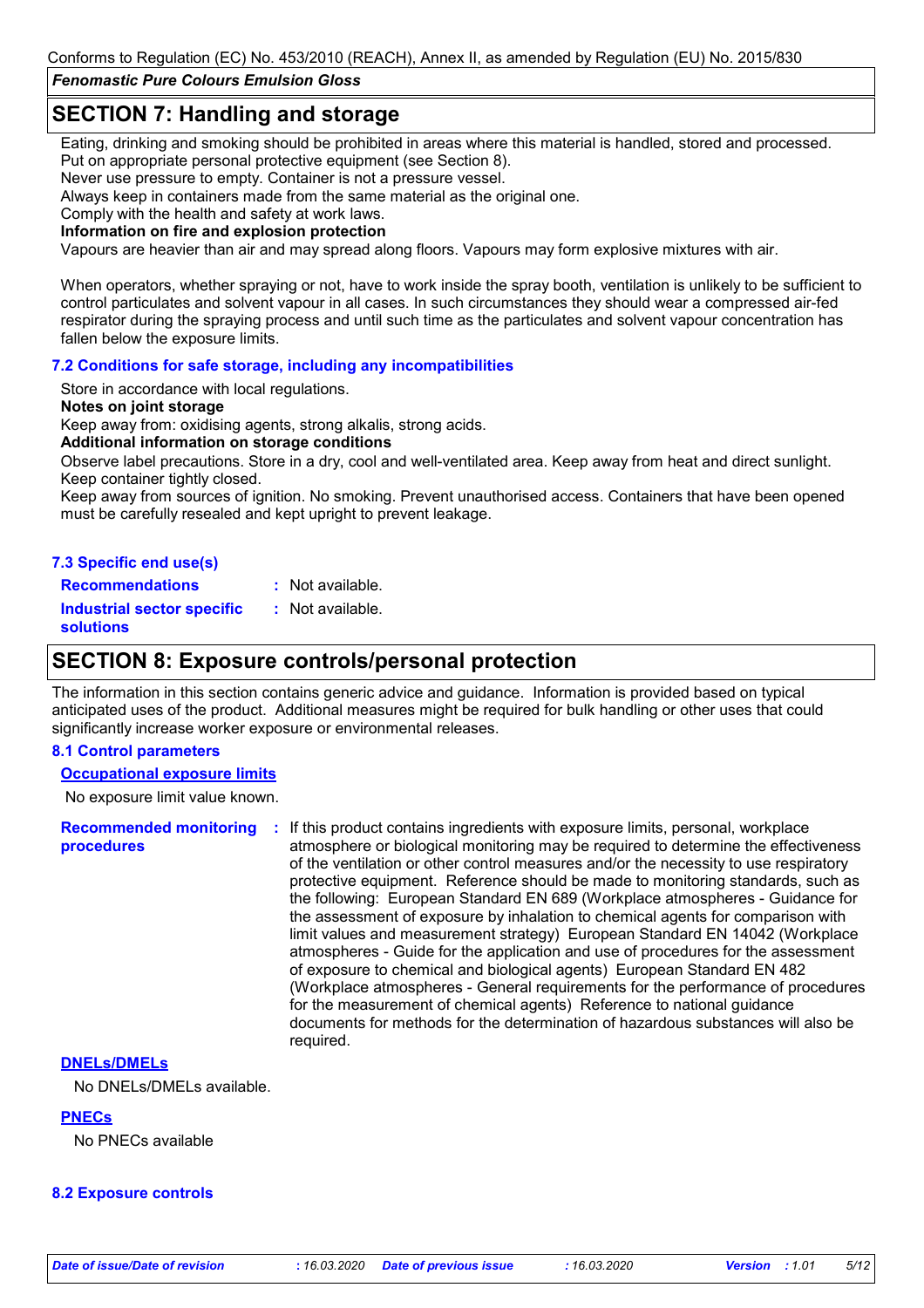Conforms to Regulation (EC) No. 453/2010 (REACH), Annex II, as amended by Regulation (EU) No. 2015/830

*Fenomastic Pure Colours Emulsion Gloss*

# **SECTION 7: Handling and storage**

Eating, drinking and smoking should be prohibited in areas where this material is handled, stored and processed. Put on appropriate personal protective equipment (see Section 8).

Never use pressure to empty. Container is not a pressure vessel.

Always keep in containers made from the same material as the original one.

Comply with the health and safety at work laws.

**Information on fire and explosion protection**

Vapours are heavier than air and may spread along floors. Vapours may form explosive mixtures with air.

When operators, whether spraying or not, have to work inside the spray booth, ventilation is unlikely to be sufficient to control particulates and solvent vapour in all cases. In such circumstances they should wear a compressed air-fed respirator during the spraying process and until such time as the particulates and solvent vapour concentration has fallen below the exposure limits.

#### **7.2 Conditions for safe storage, including any incompatibilities**

Store in accordance with local regulations.

#### **Notes on joint storage**

Keep away from: oxidising agents, strong alkalis, strong acids.

#### **Additional information on storage conditions**

Observe label precautions. Store in a dry, cool and well-ventilated area. Keep away from heat and direct sunlight. Keep container tightly closed.

Keep away from sources of ignition. No smoking. Prevent unauthorised access. Containers that have been opened must be carefully resealed and kept upright to prevent leakage.

#### **7.3 Specific end use(s)**

**Recommendations : Industrial sector specific : solutions** : Not available. : Not available.

## **SECTION 8: Exposure controls/personal protection**

The information in this section contains generic advice and guidance. Information is provided based on typical anticipated uses of the product. Additional measures might be required for bulk handling or other uses that could significantly increase worker exposure or environmental releases.

#### **8.1 Control parameters**

#### **Occupational exposure limits**

No exposure limit value known.

**Recommended monitoring procedures :** If this product contains ingredients with exposure limits, personal, workplace atmosphere or biological monitoring may be required to determine the effectiveness of the ventilation or other control measures and/or the necessity to use respiratory protective equipment. Reference should be made to monitoring standards, such as the following: European Standard EN 689 (Workplace atmospheres - Guidance for the assessment of exposure by inhalation to chemical agents for comparison with limit values and measurement strategy) European Standard EN 14042 (Workplace atmospheres - Guide for the application and use of procedures for the assessment of exposure to chemical and biological agents) European Standard EN 482 (Workplace atmospheres - General requirements for the performance of procedures for the measurement of chemical agents) Reference to national guidance documents for methods for the determination of hazardous substances will also be required.

### **DNELs/DMELs**

No DNELs/DMELs available.

**PNECs** No PNECs available

#### **8.2 Exposure controls**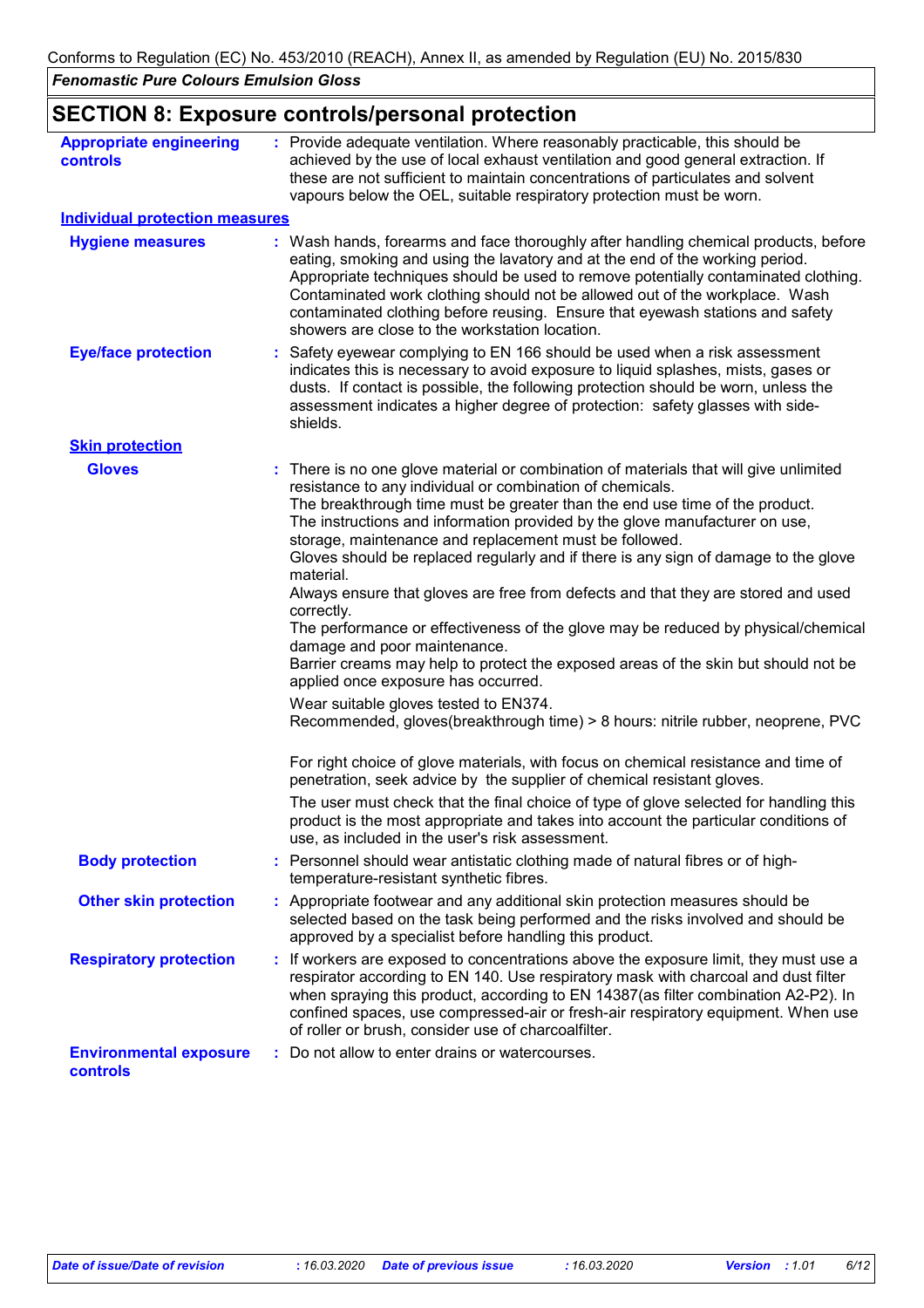# **SECTION 8: Exposure controls/personal protection**

| <b>Appropriate engineering</b><br><b>controls</b> | : Provide adequate ventilation. Where reasonably practicable, this should be<br>achieved by the use of local exhaust ventilation and good general extraction. If<br>these are not sufficient to maintain concentrations of particulates and solvent<br>vapours below the OEL, suitable respiratory protection must be worn.                                                                                                                                                                                                                                                                                                                                                                                                                                                                                                                                                                                                                                                                                                                                                                                                                                                                                                                                                                                                                                        |
|---------------------------------------------------|--------------------------------------------------------------------------------------------------------------------------------------------------------------------------------------------------------------------------------------------------------------------------------------------------------------------------------------------------------------------------------------------------------------------------------------------------------------------------------------------------------------------------------------------------------------------------------------------------------------------------------------------------------------------------------------------------------------------------------------------------------------------------------------------------------------------------------------------------------------------------------------------------------------------------------------------------------------------------------------------------------------------------------------------------------------------------------------------------------------------------------------------------------------------------------------------------------------------------------------------------------------------------------------------------------------------------------------------------------------------|
| <b>Individual protection measures</b>             |                                                                                                                                                                                                                                                                                                                                                                                                                                                                                                                                                                                                                                                                                                                                                                                                                                                                                                                                                                                                                                                                                                                                                                                                                                                                                                                                                                    |
| <b>Hygiene measures</b>                           | : Wash hands, forearms and face thoroughly after handling chemical products, before<br>eating, smoking and using the lavatory and at the end of the working period.<br>Appropriate techniques should be used to remove potentially contaminated clothing.<br>Contaminated work clothing should not be allowed out of the workplace. Wash<br>contaminated clothing before reusing. Ensure that eyewash stations and safety<br>showers are close to the workstation location.                                                                                                                                                                                                                                                                                                                                                                                                                                                                                                                                                                                                                                                                                                                                                                                                                                                                                        |
| <b>Eye/face protection</b>                        | : Safety eyewear complying to EN 166 should be used when a risk assessment<br>indicates this is necessary to avoid exposure to liquid splashes, mists, gases or<br>dusts. If contact is possible, the following protection should be worn, unless the<br>assessment indicates a higher degree of protection: safety glasses with side-<br>shields.                                                                                                                                                                                                                                                                                                                                                                                                                                                                                                                                                                                                                                                                                                                                                                                                                                                                                                                                                                                                                 |
| <b>Skin protection</b>                            |                                                                                                                                                                                                                                                                                                                                                                                                                                                                                                                                                                                                                                                                                                                                                                                                                                                                                                                                                                                                                                                                                                                                                                                                                                                                                                                                                                    |
| <b>Gloves</b>                                     | : There is no one glove material or combination of materials that will give unlimited<br>resistance to any individual or combination of chemicals.<br>The breakthrough time must be greater than the end use time of the product.<br>The instructions and information provided by the glove manufacturer on use,<br>storage, maintenance and replacement must be followed.<br>Gloves should be replaced regularly and if there is any sign of damage to the glove<br>material.<br>Always ensure that gloves are free from defects and that they are stored and used<br>correctly.<br>The performance or effectiveness of the glove may be reduced by physical/chemical<br>damage and poor maintenance.<br>Barrier creams may help to protect the exposed areas of the skin but should not be<br>applied once exposure has occurred.<br>Wear suitable gloves tested to EN374.<br>Recommended, gloves(breakthrough time) > 8 hours: nitrile rubber, neoprene, PVC<br>For right choice of glove materials, with focus on chemical resistance and time of<br>penetration, seek advice by the supplier of chemical resistant gloves.<br>The user must check that the final choice of type of glove selected for handling this<br>product is the most appropriate and takes into account the particular conditions of<br>use, as included in the user's risk assessment. |
| <b>Body protection</b>                            | Personnel should wear antistatic clothing made of natural fibres or of high-                                                                                                                                                                                                                                                                                                                                                                                                                                                                                                                                                                                                                                                                                                                                                                                                                                                                                                                                                                                                                                                                                                                                                                                                                                                                                       |
| <b>Other skin protection</b>                      | temperature-resistant synthetic fibres.<br>: Appropriate footwear and any additional skin protection measures should be<br>selected based on the task being performed and the risks involved and should be<br>approved by a specialist before handling this product.                                                                                                                                                                                                                                                                                                                                                                                                                                                                                                                                                                                                                                                                                                                                                                                                                                                                                                                                                                                                                                                                                               |
| <b>Respiratory protection</b>                     | : If workers are exposed to concentrations above the exposure limit, they must use a<br>respirator according to EN 140. Use respiratory mask with charcoal and dust filter<br>when spraying this product, according to EN 14387(as filter combination A2-P2). In<br>confined spaces, use compressed-air or fresh-air respiratory equipment. When use<br>of roller or brush, consider use of charcoalfilter.                                                                                                                                                                                                                                                                                                                                                                                                                                                                                                                                                                                                                                                                                                                                                                                                                                                                                                                                                        |
| <b>Environmental exposure</b><br>controls         | Do not allow to enter drains or watercourses.                                                                                                                                                                                                                                                                                                                                                                                                                                                                                                                                                                                                                                                                                                                                                                                                                                                                                                                                                                                                                                                                                                                                                                                                                                                                                                                      |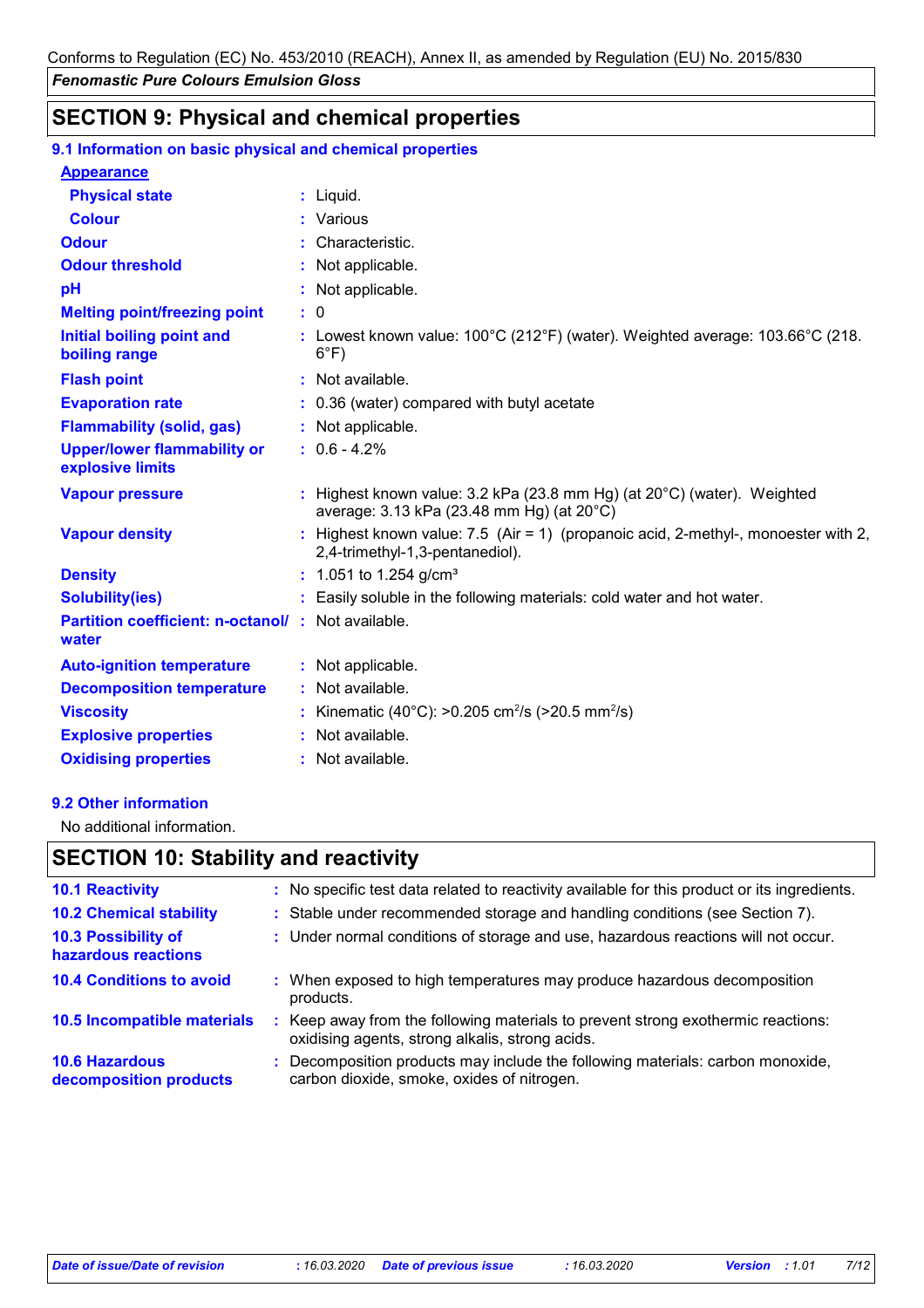# **SECTION 9: Physical and chemical properties**

| 9.1 Information on basic physical and chemical properties   |                                                                                                                                |
|-------------------------------------------------------------|--------------------------------------------------------------------------------------------------------------------------------|
| <b>Appearance</b>                                           |                                                                                                                                |
| <b>Physical state</b>                                       | : Liquid.                                                                                                                      |
| <b>Colour</b>                                               | : Various                                                                                                                      |
| <b>Odour</b>                                                | : Characteristic.                                                                                                              |
| <b>Odour threshold</b>                                      | : Not applicable.                                                                                                              |
| pH                                                          | : Not applicable.                                                                                                              |
| <b>Melting point/freezing point</b>                         | $\mathbf{.}0$                                                                                                                  |
| <b>Initial boiling point and</b><br>boiling range           | : Lowest known value: $100^{\circ}$ C (212 $^{\circ}$ F) (water). Weighted average: $103.66^{\circ}$ C (218.<br>$6^{\circ}F$ ) |
| <b>Flash point</b>                                          | : Not available.                                                                                                               |
| <b>Evaporation rate</b>                                     | : 0.36 (water) compared with butyl acetate                                                                                     |
| <b>Flammability (solid, gas)</b>                            | : Not applicable.                                                                                                              |
| <b>Upper/lower flammability or</b><br>explosive limits      | $: 0.6 - 4.2%$                                                                                                                 |
| <b>Vapour pressure</b>                                      | : Highest known value: 3.2 kPa (23.8 mm Hg) (at 20°C) (water). Weighted<br>average: 3.13 kPa (23.48 mm Hg) (at 20°C)           |
| <b>Vapour density</b>                                       | : Highest known value: 7.5 (Air = 1) (propanoic acid, 2-methyl-, monoester with 2,<br>2,4-trimethyl-1,3-pentanediol).          |
| <b>Density</b>                                              | : 1.051 to 1.254 g/cm <sup>3</sup>                                                                                             |
| <b>Solubility(ies)</b>                                      | : Easily soluble in the following materials: cold water and hot water.                                                         |
| Partition coefficient: n-octanol/ : Not available.<br>water |                                                                                                                                |
| <b>Auto-ignition temperature</b>                            | : Not applicable.                                                                                                              |
| <b>Decomposition temperature</b>                            | : Not available.                                                                                                               |
| <b>Viscosity</b>                                            | : Kinematic (40°C): >0.205 cm <sup>2</sup> /s (>20.5 mm <sup>2</sup> /s)                                                       |
| <b>Explosive properties</b>                                 | : Not available.                                                                                                               |
| <b>Oxidising properties</b>                                 | : Not available.                                                                                                               |

#### **9.2 Other information**

No additional information.

# **SECTION 10: Stability and reactivity**

| <b>10.1 Reactivity</b>                          |    | : No specific test data related to reactivity available for this product or its ingredients.                                        |
|-------------------------------------------------|----|-------------------------------------------------------------------------------------------------------------------------------------|
| <b>10.2 Chemical stability</b>                  |    | : Stable under recommended storage and handling conditions (see Section 7).                                                         |
| 10.3 Possibility of<br>hazardous reactions      |    | : Under normal conditions of storage and use, hazardous reactions will not occur.                                                   |
| <b>10.4 Conditions to avoid</b>                 | ÷. | When exposed to high temperatures may produce hazardous decomposition<br>products.                                                  |
| 10.5 Incompatible materials                     |    | : Keep away from the following materials to prevent strong exothermic reactions:<br>oxidising agents, strong alkalis, strong acids. |
| <b>10.6 Hazardous</b><br>decomposition products |    | : Decomposition products may include the following materials: carbon monoxide,<br>carbon dioxide, smoke, oxides of nitrogen.        |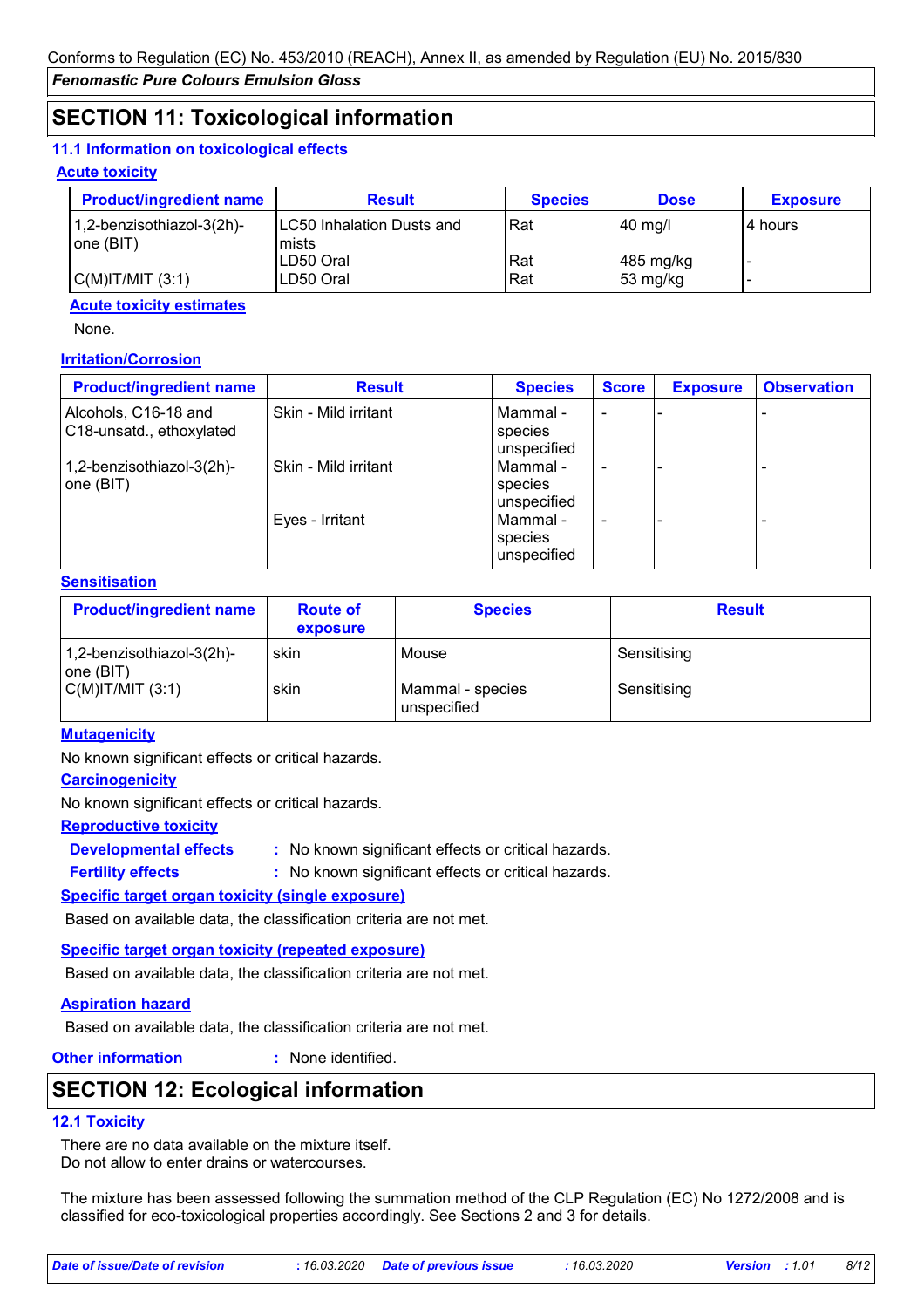# **SECTION 11: Toxicological information**

### **11.1 Information on toxicological effects**

### **Acute toxicity**

| <b>Product/ingredient name</b>         | <b>Result</b>                        | <b>Species</b> | <b>Dose</b>             | <b>Exposure</b> |
|----------------------------------------|--------------------------------------|----------------|-------------------------|-----------------|
| 1,2-benzisothiazol-3(2h)-<br>one (BIT) | ILC50 Inhalation Dusts and<br>lmists | Rat            | 40 mg/l                 | 4 hours         |
| C(M) T/MIT (3:1)                       | LD50 Oral<br>LD50 Oral               | Rat<br>Rat     | 485 mg/kg<br>  53 mg/kg |                 |

### **Acute toxicity estimates**

None.

### **Irritation/Corrosion**

| <b>Product/ingredient name</b>                   | <b>Result</b>        | <b>Species</b>                     | <b>Score</b> | <b>Exposure</b> | <b>Observation</b> |
|--------------------------------------------------|----------------------|------------------------------------|--------------|-----------------|--------------------|
| Alcohols, C16-18 and<br>C18-unsatd., ethoxylated | Skin - Mild irritant | Mammal -<br>species<br>unspecified |              |                 |                    |
| 1,2-benzisothiazol-3(2h)-<br>one $(BIT)$         | Skin - Mild irritant | Mammal -<br>species<br>unspecified |              |                 |                    |
|                                                  | Eyes - Irritant      | Mammal -<br>species<br>unspecified |              |                 |                    |

### **Sensitisation**

| <b>Product/ingredient name</b>         | <b>Route of</b><br>exposure | <b>Species</b>                  | <b>Result</b> |
|----------------------------------------|-----------------------------|---------------------------------|---------------|
| 1,2-benzisothiazol-3(2h)-<br> one(BIT) | skin                        | Mouse                           | Sensitising   |
| $C(M)$ IT/MIT $(3:1)$                  | skin                        | Mammal - species<br>unspecified | Sensitising   |

### **Mutagenicity**

No known significant effects or critical hazards.

### **Carcinogenicity**

No known significant effects or critical hazards.

### **Reproductive toxicity**

**Developmental effects :**

: No known significant effects or critical hazards.

: No known significant effects or critical hazards. **Fertility effects :**

### **Specific target organ toxicity (single exposure)**

Based on available data, the classification criteria are not met.

### **Specific target organ toxicity (repeated exposure)**

Based on available data, the classification criteria are not met.

### **Aspiration hazard**

Based on available data, the classification criteria are not met.

**Other information :**

: None identified.

# **SECTION 12: Ecological information**

# **12.1 Toxicity**

There are no data available on the mixture itself. Do not allow to enter drains or watercourses.

The mixture has been assessed following the summation method of the CLP Regulation (EC) No 1272/2008 and is classified for eco-toxicological properties accordingly. See Sections 2 and 3 for details.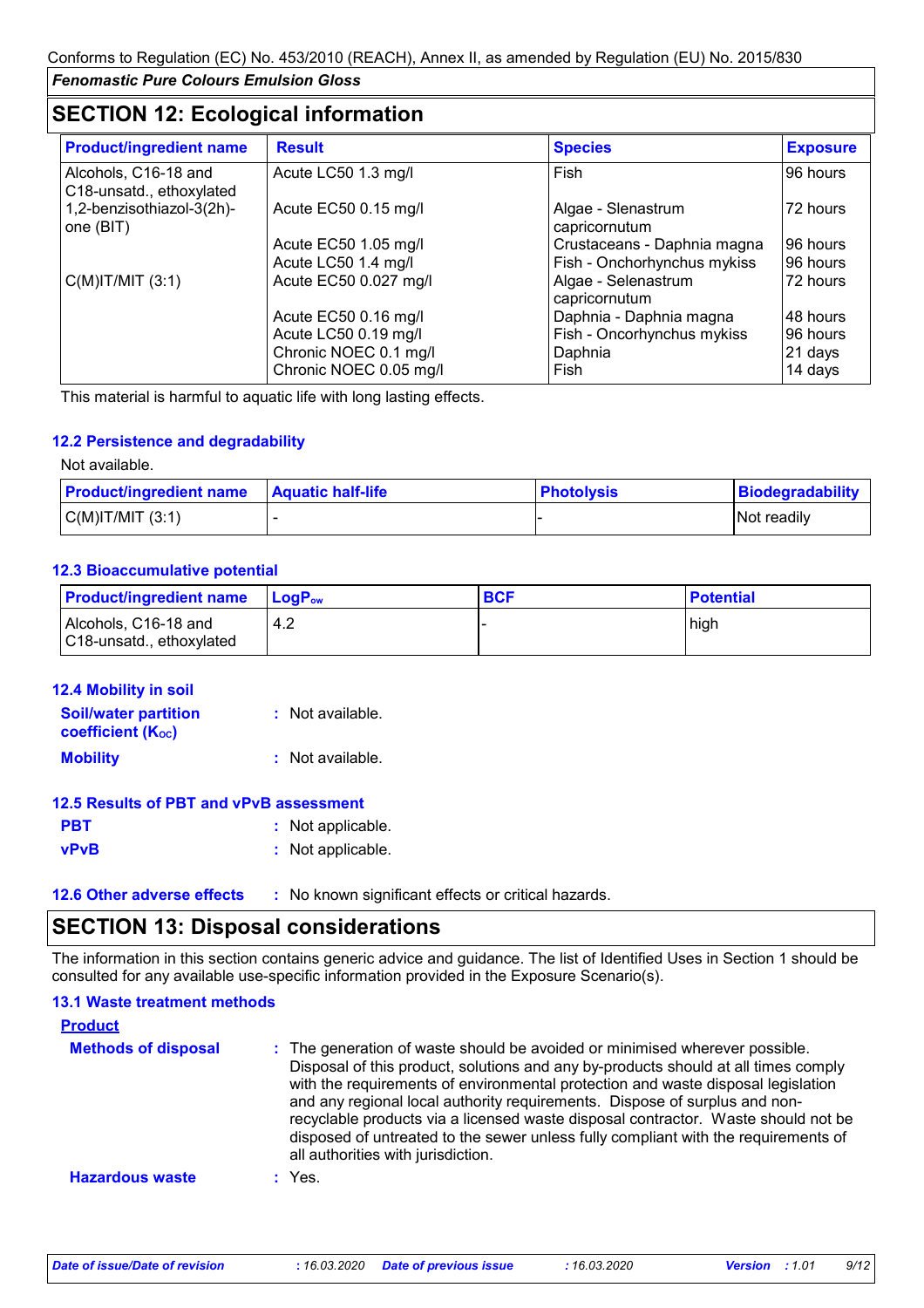# **SECTION 12: Ecological information**

| <b>Product/ingredient name</b>                   | <b>Result</b>          | <b>Species</b>                       | <b>Exposure</b> |
|--------------------------------------------------|------------------------|--------------------------------------|-----------------|
| Alcohols, C16-18 and<br>C18-unsatd., ethoxylated | Acute LC50 1.3 mg/l    | Fish                                 | 96 hours        |
| 1,2-benzisothiazol-3(2h)-<br>one (BIT)           | Acute EC50 0.15 mg/l   | Algae - Slenastrum<br>capricornutum  | 72 hours        |
|                                                  | Acute EC50 1.05 mg/l   | Crustaceans - Daphnia magna          | 96 hours        |
|                                                  | Acute LC50 1.4 mg/l    | Fish - Onchorhynchus mykiss          | 196 hours       |
| $C(M)$ IT/MIT $(3:1)$                            | Acute EC50 0.027 mg/l  | Algae - Selenastrum<br>capricornutum | 72 hours        |
|                                                  | Acute EC50 0.16 mg/l   | Daphnia - Daphnia magna              | 48 hours        |
|                                                  | Acute LC50 0.19 mg/l   | Fish - Oncorhynchus mykiss           | 96 hours        |
|                                                  | Chronic NOEC 0.1 mg/l  | Daphnia                              | 21 days         |
|                                                  | Chronic NOEC 0.05 mg/l | Fish                                 | 14 days         |

This material is harmful to aquatic life with long lasting effects.

#### **12.2 Persistence and degradability**

Not available.

| <b>Product/ingredient name</b> | <b>Aquatic half-life</b> | <b>Photolysis</b> | <b>Biodegradability</b> |
|--------------------------------|--------------------------|-------------------|-------------------------|
| $C(M)$ IT/MIT $(3:1)$          |                          |                   | Not readily             |

#### **12.3 Bioaccumulative potential**

| <b>Product/ingredient name</b>                   | <b>LogP</b> <sub>ow</sub> | <b>BCF</b> | <b>Potential</b> |
|--------------------------------------------------|---------------------------|------------|------------------|
| Alcohols, C16-18 and<br>C18-unsatd., ethoxylated | 4.2                       |            | high             |

| <b>12.4 Mobility in soil</b>                            |                  |
|---------------------------------------------------------|------------------|
| <b>Soil/water partition</b><br><b>coefficient (Koc)</b> | : Not available. |
| <b>Mobility</b>                                         | : Not available. |

#### **12.5 Results of PBT and vPvB assessment**

| <b>PBT</b>  | : Not applicable. |
|-------------|-------------------|
| <b>vPvB</b> | : Not applicable. |

**12.6 Other adverse effects** : No known significant effects or critical hazards.

# **SECTION 13: Disposal considerations**

The information in this section contains generic advice and guidance. The list of Identified Uses in Section 1 should be consulted for any available use-specific information provided in the Exposure Scenario(s).

| <b>13.1 Waste treatment methods</b><br><b>Product</b> |                                                                                                                                                                                                                                                                                                                                                                                                                                                                                                                                                      |
|-------------------------------------------------------|------------------------------------------------------------------------------------------------------------------------------------------------------------------------------------------------------------------------------------------------------------------------------------------------------------------------------------------------------------------------------------------------------------------------------------------------------------------------------------------------------------------------------------------------------|
| <b>Methods of disposal</b>                            | : The generation of waste should be avoided or minimised wherever possible.<br>Disposal of this product, solutions and any by-products should at all times comply<br>with the requirements of environmental protection and waste disposal legislation<br>and any regional local authority requirements. Dispose of surplus and non-<br>recyclable products via a licensed waste disposal contractor. Waste should not be<br>disposed of untreated to the sewer unless fully compliant with the requirements of<br>all authorities with jurisdiction. |
| <b>Hazardous waste</b>                                | : Yes.                                                                                                                                                                                                                                                                                                                                                                                                                                                                                                                                               |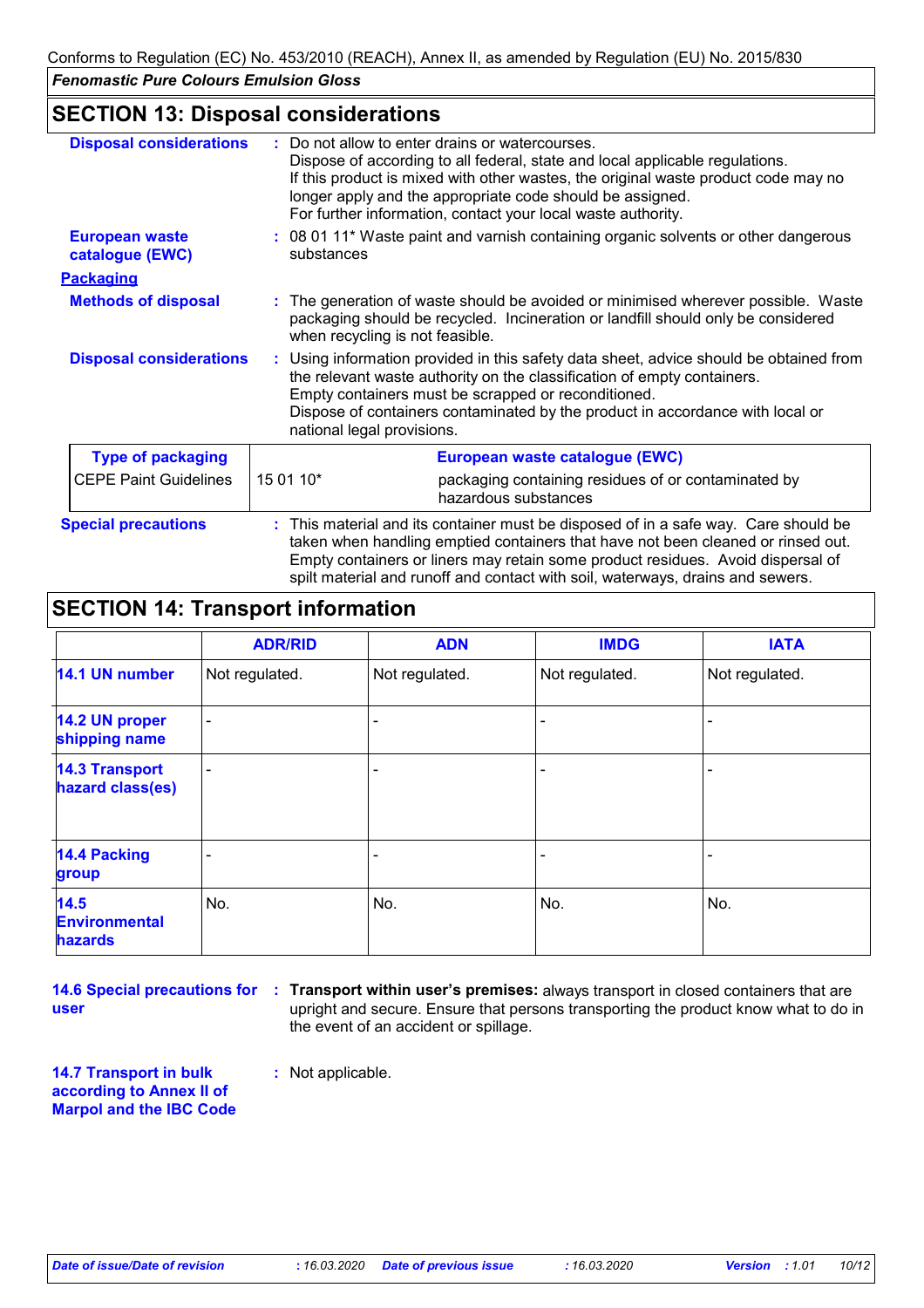# **SECTION 13: Disposal considerations**

| <b>Disposal considerations</b>           |            | Do not allow to enter drains or watercourses.<br>Dispose of according to all federal, state and local applicable regulations.<br>If this product is mixed with other wastes, the original waste product code may no<br>longer apply and the appropriate code should be assigned.<br>For further information, contact your local waste authority. |  |  |
|------------------------------------------|------------|--------------------------------------------------------------------------------------------------------------------------------------------------------------------------------------------------------------------------------------------------------------------------------------------------------------------------------------------------|--|--|
| <b>European waste</b><br>catalogue (EWC) | substances | : 08 01 11* Waste paint and varnish containing organic solvents or other dangerous                                                                                                                                                                                                                                                               |  |  |
| <b>Packaging</b>                         |            |                                                                                                                                                                                                                                                                                                                                                  |  |  |
| <b>Methods of disposal</b>               |            | The generation of waste should be avoided or minimised wherever possible. Waste<br>packaging should be recycled. Incineration or landfill should only be considered<br>when recycling is not feasible.                                                                                                                                           |  |  |
| <b>Disposal considerations</b>           |            | : Using information provided in this safety data sheet, advice should be obtained from<br>the relevant waste authority on the classification of empty containers.<br>Empty containers must be scrapped or reconditioned.<br>Dispose of containers contaminated by the product in accordance with local or<br>national legal provisions.          |  |  |
| <b>Type of packaging</b>                 |            | European waste catalogue (EWC)                                                                                                                                                                                                                                                                                                                   |  |  |
| <b>CEPE Paint Guidelines</b>             | 15 01 10*  | packaging containing residues of or contaminated by<br>hazardous substances                                                                                                                                                                                                                                                                      |  |  |
| <b>Special precautions</b>               |            | This material and its container must be disposed of in a safe way. Care should be<br>taken when handling emptied containers that have not been cleaned or rinsed out.<br>Empty containers or liners may retain some product residues. Avoid dispersal of<br>spilt material and runoff and contact with soil, waterways, drains and sewers.       |  |  |

# **SECTION 14: Transport information**

|                                                | <b>ADR/RID</b>           | <b>ADN</b>     | <b>IMDG</b>    | <b>IATA</b>    |
|------------------------------------------------|--------------------------|----------------|----------------|----------------|
| 14.1 UN number                                 | Not regulated.           | Not regulated. | Not regulated. | Not regulated. |
| 14.2 UN proper<br>shipping name                | $\overline{\phantom{a}}$ |                |                |                |
| <b>14.3 Transport</b><br>hazard class(es)      | $\overline{\phantom{a}}$ |                |                |                |
| <b>14.4 Packing</b><br>group                   | ٠                        |                |                |                |
| 14.5<br><b>Environmental</b><br><b>hazards</b> | No.                      | No.            | No.            | No.            |

**user**

**14.6 Special precautions for Transport within user's premises:** always transport in closed containers that are **:** upright and secure. Ensure that persons transporting the product know what to do in the event of an accident or spillage.

**14.7 Transport in bulk according to Annex II of Marpol and the IBC Code** **:** Not applicable.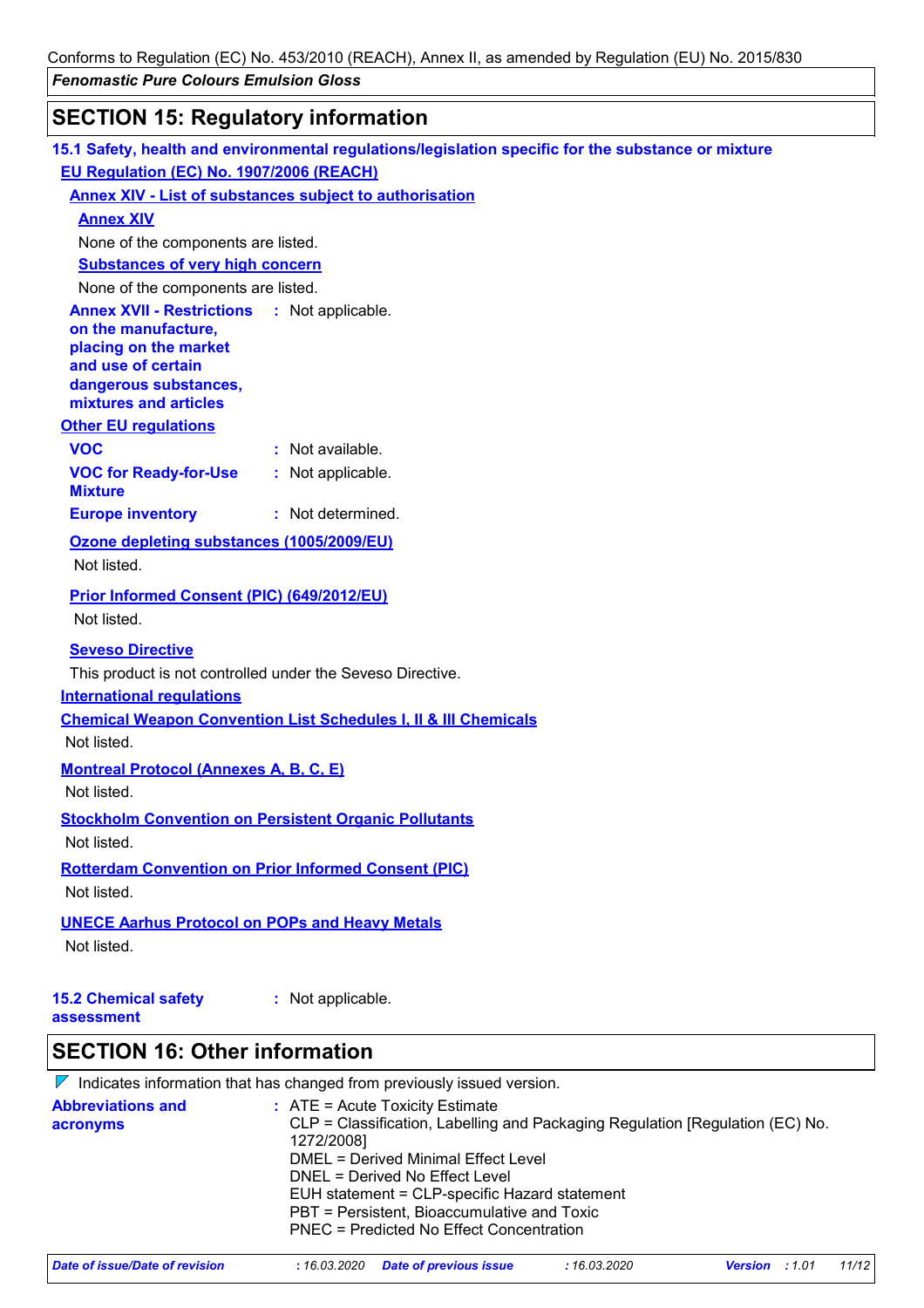# **SECTION 15: Regulatory information**

|                                                         | 15.1 Safety, health and environmental regulations/legislation specific for the substance or mixture |
|---------------------------------------------------------|-----------------------------------------------------------------------------------------------------|
| EU Regulation (EC) No. 1907/2006 (REACH)                |                                                                                                     |
|                                                         | <b>Annex XIV - List of substances subject to authorisation</b>                                      |
| <b>Annex XIV</b>                                        |                                                                                                     |
| None of the components are listed.                      |                                                                                                     |
| <b>Substances of very high concern</b>                  |                                                                                                     |
| None of the components are listed.                      |                                                                                                     |
| <b>Annex XVII - Restrictions</b><br>on the manufacture, | : Not applicable.                                                                                   |
| placing on the market                                   |                                                                                                     |
| and use of certain                                      |                                                                                                     |
| dangerous substances,<br>mixtures and articles          |                                                                                                     |
| <b>Other EU requlations</b>                             |                                                                                                     |
| <b>VOC</b>                                              | : Not available.                                                                                    |
| <b>VOC for Ready-for-Use</b>                            | : Not applicable.                                                                                   |
| <b>Mixture</b>                                          |                                                                                                     |
| <b>Europe inventory</b>                                 | : Not determined.                                                                                   |
| Ozone depleting substances (1005/2009/EU)               |                                                                                                     |
| Not listed.                                             |                                                                                                     |
| <b>Prior Informed Consent (PIC) (649/2012/EU)</b>       |                                                                                                     |
| Not listed.                                             |                                                                                                     |
| <b>Seveso Directive</b>                                 |                                                                                                     |
|                                                         | This product is not controlled under the Seveso Directive.                                          |
| <b>International requlations</b>                        |                                                                                                     |
|                                                         | <b>Chemical Weapon Convention List Schedules I, II &amp; III Chemicals</b>                          |
| Not listed.                                             |                                                                                                     |
| <b>Montreal Protocol (Annexes A, B, C, E)</b>           |                                                                                                     |
| Not listed.                                             |                                                                                                     |
|                                                         | <b>Stockholm Convention on Persistent Organic Pollutants</b>                                        |
| Not listed.                                             |                                                                                                     |
|                                                         | <b>Rotterdam Convention on Prior Informed Consent (PIC)</b>                                         |
| Not listed.                                             |                                                                                                     |
| <b>UNECE Aarhus Protocol on POPs and Heavy Metals</b>   |                                                                                                     |
| Not listed.                                             |                                                                                                     |
|                                                         |                                                                                                     |
| <b>15.2 Chemical safety</b>                             | : Not applicable.                                                                                   |
| assessment                                              |                                                                                                     |
| <b>SECTION 16: Other information</b>                    |                                                                                                     |
|                                                         | $\nabla$ Indicates information that has changed from previously issued version.                     |
| <b>Abbreviations and</b>                                | $:$ ATE = Acute Toxicity Estimate                                                                   |
| acronyms                                                | CLP = Classification, Labelling and Packaging Regulation [Regulation (EC) No.<br>1272/20081         |

| $ L $ $L $ $L$ $U$ $U$ $U$ |                                     |  |  |
|----------------------------|-------------------------------------|--|--|
|                            | DMEL = Derived Minimal Effect Level |  |  |

DNEL = Derived No Effect Level

EUH statement = CLP-specific Hazard statement

```
PBT = Persistent, Bioaccumulative and Toxic
```

```
PNEC = Predicted No Effect Concentration
```